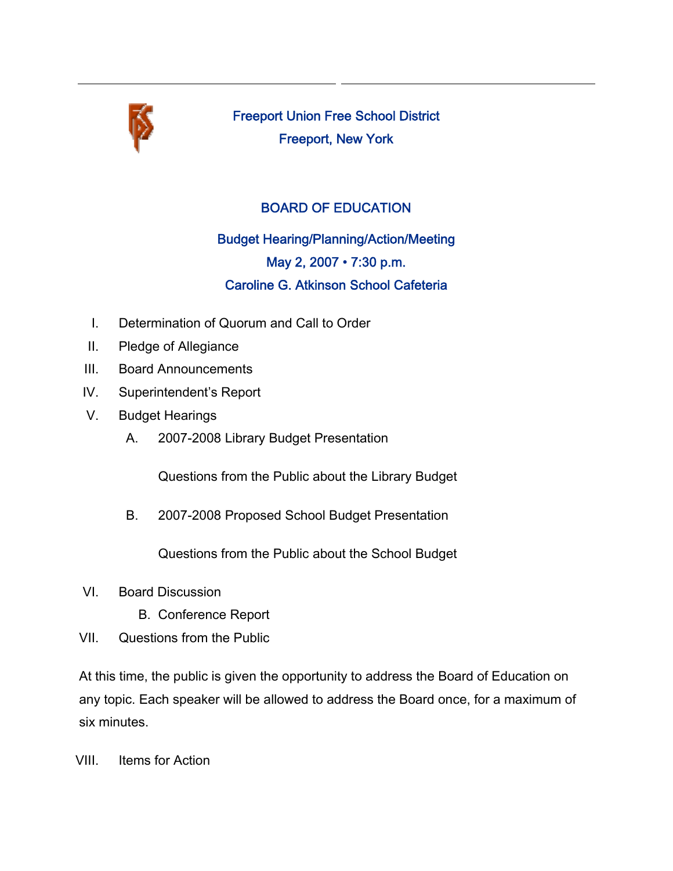

Freeport Union Free School District Freeport, New York

## BOARD OF EDUCATION

Budget Hearing/Planning/Action/Meeting May 2, 2007 • 7:30 p.m. Caroline G. Atkinson School Cafeteria

- I. Determination of Quorum and Call to Order
- II. Pledge of Allegiance
- III. Board Announcements
- IV. Superintendent's Report
- V. Budget Hearings
	- A. 2007-2008 Library Budget Presentation

Questions from the Public about the Library Budget

B. 2007-2008 Proposed School Budget Presentation

Questions from the Public about the School Budget

- VI. Board Discussion
	- B. Conference Report
- VII. Questions from the Public

At this time, the public is given the opportunity to address the Board of Education on any topic. Each speaker will be allowed to address the Board once, for a maximum of six minutes.

VIII. Items for Action